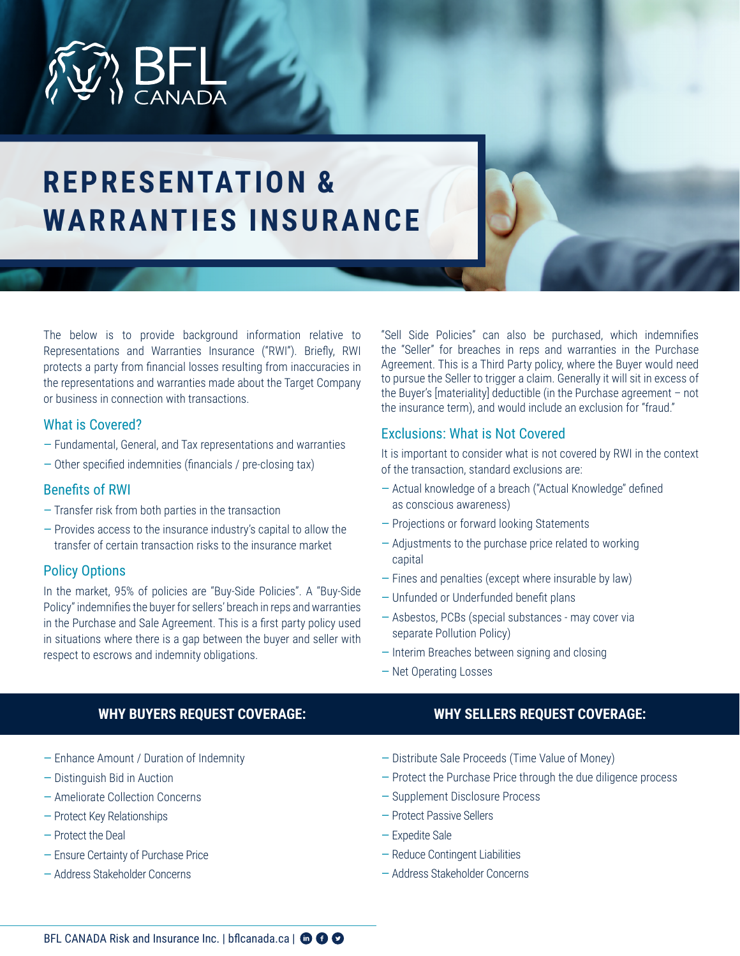

# **REPRESENTATION & WARRANTIES INSURANCE**

The below is to provide background information relative to Representations and Warranties Insurance ("RWI"). Briefly, RWI protects a party from financial losses resulting from inaccuracies in the representations and warranties made about the Target Company or business in connection with transactions.

### What is Covered?

- Fundamental, General, and Tax representations and warranties
- Other specified indemnities (financials / pre-closing tax)

### Benefits of RWI

- Transfer risk from both parties in the transaction
- Provides access to the insurance industry's capital to allow the transfer of certain transaction risks to the insurance market

### Policy Options

In the market, 95% of policies are ''Buy-Side Policies''. A ''Buy-Side Policy'' indemnifies the buyer for sellers' breach in reps and warranties in the Purchase and Sale Agreement. This is a first party policy used in situations where there is a gap between the buyer and seller with respect to escrows and indemnity obligations.

**WHY BUYERS REQUEST COVERAGE:**

"Sell Side Policies" can also be purchased, which indemnifies the "Seller" for breaches in reps and warranties in the Purchase Agreement. This is a Third Party policy, where the Buyer would need to pursue the Seller to trigger a claim. Generally it will sit in excess of the Buyer's [materiality] deductible (in the Purchase agreement – not the insurance term), and would include an exclusion for "fraud."

### Exclusions: What is Not Covered

It is important to consider what is not covered by RWI in the context of the transaction, standard exclusions are:

- Actual knowledge of a breach (''Actual Knowledge'' defined as conscious awareness)
- Projections or forward looking Statements
- Adjustments to the purchase price related to working capital
- Fines and penalties (except where insurable by law)
- Unfunded or Underfunded benefit plans
- Asbestos, PCBs (special substances may cover via separate Pollution Policy)
- Interim Breaches between signing and closing
- Net Operating Losses

### **WHY SELLERS REQUEST COVERAGE:**

- Enhance Amount / Duration of Indemnity
- Distinguish Bid in Auction
- Ameliorate Collection Concerns
- Protect Key Relationships
- Protect the Deal
- Ensure Certainty of Purchase Price
- Address Stakeholder Concerns
- Distribute Sale Proceeds (Time Value of Money)
- Protect the Purchase Price through the due diligence process
- Supplement Disclosure Process
- Protect Passive Sellers
- Expedite Sale
- Reduce Contingent Liabilities
- Address Stakeholder Concerns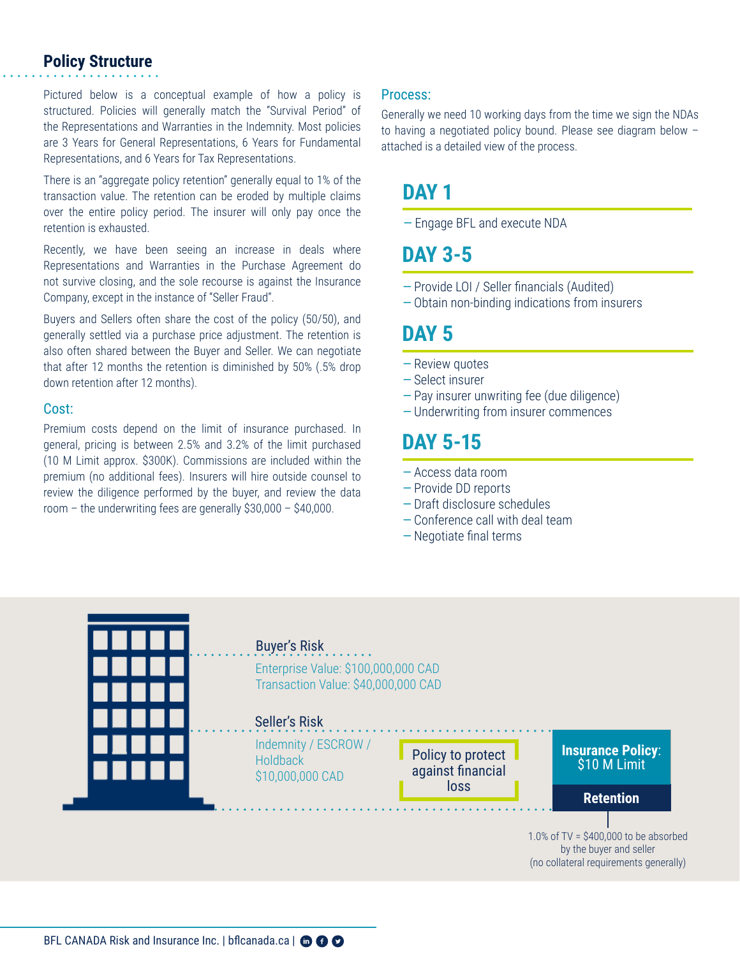### **Policy Structure**

Pictured below is a conceptual example of how a policy is structured. Policies will generally match the "Survival Period" of the Representations and Warranties in the Indemnity. Most policies are 3 Years for General Representations, 6 Years for Fundamental Representations, and 6 Years for Tax Representations.

There is an "aggregate policy retention" generally equal to 1% of the transaction value. The retention can be eroded by multiple claims over the entire policy period. The insurer will only pay once the retention is exhausted.

Recently, we have been seeing an increase in deals where Representations and Warranties in the Purchase Agreement do not survive closing, and the sole recourse is against the Insurance Company, except in the instance of "Seller Fraud".

Buyers and Sellers often share the cost of the policy (50/50), and generally settled via a purchase price adjustment. The retention is also often shared between the Buyer and Seller. We can negotiate that after 12 months the retention is diminished by 50% (.5% drop down retention after 12 months).

#### Cost:

Premium costs depend on the limit of insurance purchased. In general, pricing is between 2.5% and 3.2% of the limit purchased (10 M Limit approx. \$300K). Commissions are included within the premium (no additional fees). Insurers will hire outside counsel to review the diligence performed by the buyer, and review the data room – the underwriting fees are generally \$30,000 – \$40,000.

#### Process:

Generally we need 10 working days from the time we sign the NDAs to having a negotiated policy bound. Please see diagram below – attached is a detailed view of the process.

### **DAY 1**

— Engage BFL and execute NDA

### **DAY 3-5**

- Provide LOI / Seller financials (Audited)
- Obtain non-binding indications from insurers

### **DAY 5**

- Review quotes
- Select insurer
- Pay insurer unwriting fee (due diligence)
- Underwriting from insurer commences

## **DAY 5-15**

- Access data room
- Provide DD reports
- Draft disclosure schedules
- Conference call with deal team
- Negotiate final terms